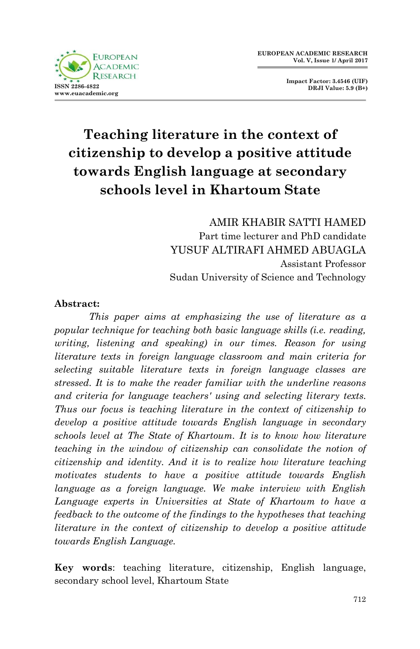

**Impact Factor: 3.4546 (UIF) DRJI Value: 5.9 (B+)**

# **Teaching literature in the context of citizenship to develop a positive attitude towards English language at secondary schools level in Khartoum State**

AMIR KHABIR SATTI HAMED Part time lecturer and PhD candidate YUSUF ALTIRAFI AHMED ABUAGLA Assistant Professor Sudan University of Science and Technology

#### **Abstract:**

*This paper aims at emphasizing the use of literature as a popular technique for teaching both basic language skills (i.e. reading, writing, listening and speaking) in our times. Reason for using literature texts in foreign language classroom and main criteria for selecting suitable literature texts in foreign language classes are stressed. It is to make the reader familiar with the underline reasons and criteria for language teachers' using and selecting literary texts. Thus our focus is teaching literature in the context of citizenship to develop a positive attitude towards English language in secondary schools level at The State of Khartoum. It is to know how literature teaching in the window of citizenship can consolidate the notion of citizenship and identity. And it is to realize how literature teaching motivates students to have a positive attitude towards English language as a foreign language. We make interview with English Language experts in Universities at State of Khartoum to have a feedback to the outcome of the findings to the hypotheses that teaching literature in the context of citizenship to develop a positive attitude towards English Language.*

**Key words**: teaching literature, citizenship, English language, secondary school level, Khartoum State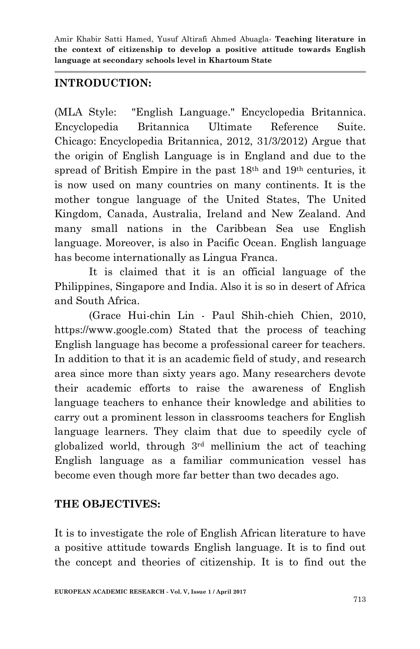## **INTRODUCTION:**

(MLA Style: "English Language." Encyclopedia Britannica. Encyclopedia Britannica Ultimate Reference Suite. Chicago: Encyclopedia Britannica, 2012, 31/3/2012) Argue that the origin of English Language is in England and due to the spread of British Empire in the past 18th and 19th centuries, it is now used on many countries on many continents. It is the mother tongue language of the United States, The United Kingdom, Canada, Australia, Ireland and New Zealand. And many small nations in the Caribbean Sea use English language. Moreover, is also in Pacific Ocean. English language has become internationally as Lingua Franca.

It is claimed that it is an official language of the Philippines, Singapore and India. Also it is so in desert of Africa and South Africa.

(Grace Hui-chin Lin - Paul Shih-chieh Chien, 2010, https://www.google.com) Stated that the process of teaching English language has become a professional career for teachers. In addition to that it is an academic field of study, and research area since more than sixty years ago. Many researchers devote their academic efforts to raise the awareness of English language teachers to enhance their knowledge and abilities to carry out a prominent lesson in classrooms teachers for English language learners. They claim that due to speedily cycle of globalized world, through 3rd mellinium the act of teaching English language as a familiar communication vessel has become even though more far better than two decades ago.

#### **THE OBJECTIVES:**

It is to investigate the role of English African literature to have a positive attitude towards English language. It is to find out the concept and theories of citizenship. It is to find out the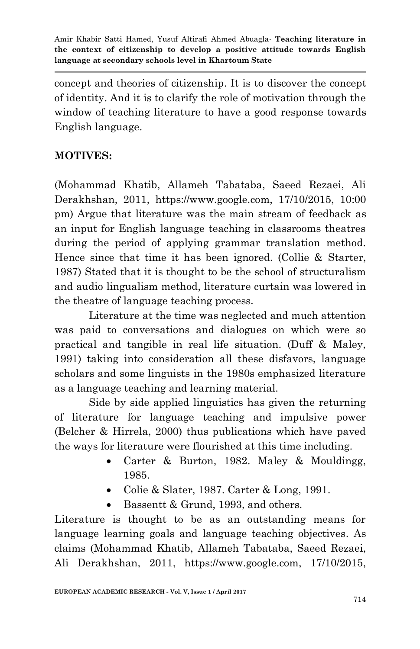concept and theories of citizenship. It is to discover the concept of identity. And it is to clarify the role of motivation through the window of teaching literature to have a good response towards English language.

## **MOTIVES:**

(Mohammad Khatib, Allameh Tabataba, Saeed Rezaei, Ali Derakhshan, 2011, https://www.google.com, 17/10/2015, 10:00 pm) Argue that literature was the main stream of feedback as an input for English language teaching in classrooms theatres during the period of applying grammar translation method. Hence since that time it has been ignored. (Collie & Starter, 1987) Stated that it is thought to be the school of structuralism and audio lingualism method, literature curtain was lowered in the theatre of language teaching process.

Literature at the time was neglected and much attention was paid to conversations and dialogues on which were so practical and tangible in real life situation. (Duff & Maley, 1991) taking into consideration all these disfavors, language scholars and some linguists in the 1980s emphasized literature as a language teaching and learning material.

Side by side applied linguistics has given the returning of literature for language teaching and impulsive power (Belcher & Hirrela, 2000) thus publications which have paved the ways for literature were flourished at this time including.

- Carter & Burton, 1982. Maley & Mouldingg, 1985.
- Colie & Slater, 1987. Carter & Long, 1991.
- Bassentt & Grund, 1993, and others.

Literature is thought to be as an outstanding means for language learning goals and language teaching objectives. As claims (Mohammad Khatib, Allameh Tabataba, Saeed Rezaei, Ali Derakhshan, 2011, https://www.google.com, 17/10/2015,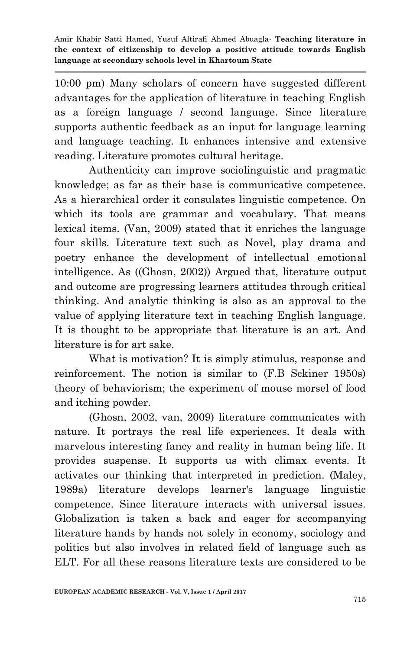10:00 pm) Many scholars of concern have suggested different advantages for the application of literature in teaching English as a foreign language / second language. Since literature supports authentic feedback as an input for language learning and language teaching. It enhances intensive and extensive reading. Literature promotes cultural heritage.

Authenticity can improve sociolinguistic and pragmatic knowledge; as far as their base is communicative competence. As a hierarchical order it consulates linguistic competence. On which its tools are grammar and vocabulary. That means lexical items. (Van, 2009) stated that it enriches the language four skills. Literature text such as Novel, play drama and poetry enhance the development of intellectual emotional intelligence. As ((Ghosn, 2002)) Argued that, literature output and outcome are progressing learners attitudes through critical thinking. And analytic thinking is also as an approval to the value of applying literature text in teaching English language. It is thought to be appropriate that literature is an art. And literature is for art sake.

What is motivation? It is simply stimulus, response and reinforcement. The notion is similar to (F.B Sckiner 1950s) theory of behaviorism; the experiment of mouse morsel of food and itching powder.

(Ghosn, 2002, van, 2009) literature communicates with nature. It portrays the real life experiences. It deals with marvelous interesting fancy and reality in human being life. It provides suspense. It supports us with climax events. It activates our thinking that interpreted in prediction. (Maley, 1989a) literature develops learner's language linguistic competence. Since literature interacts with universal issues. Globalization is taken a back and eager for accompanying literature hands by hands not solely in economy, sociology and politics but also involves in related field of language such as ELT. For all these reasons literature texts are considered to be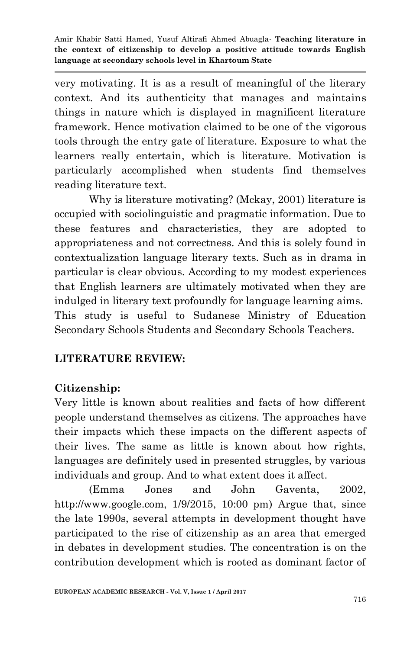very motivating. It is as a result of meaningful of the literary context. And its authenticity that manages and maintains things in nature which is displayed in magnificent literature framework. Hence motivation claimed to be one of the vigorous tools through the entry gate of literature. Exposure to what the learners really entertain, which is literature. Motivation is particularly accomplished when students find themselves reading literature text.

Why is literature motivating? (Mckay, 2001) literature is occupied with sociolinguistic and pragmatic information. Due to these features and characteristics, they are adopted to appropriateness and not correctness. And this is solely found in contextualization language literary texts. Such as in drama in particular is clear obvious. According to my modest experiences that English learners are ultimately motivated when they are indulged in literary text profoundly for language learning aims. This study is useful to Sudanese Ministry of Education Secondary Schools Students and Secondary Schools Teachers.

#### **LITERATURE REVIEW:**

## **Citizenship:**

Very little is known about realities and facts of how different people understand themselves as citizens. The approaches have their impacts which these impacts on the different aspects of their lives. The same as little is known about how rights, languages are definitely used in presented struggles, by various individuals and group. And to what extent does it affect.

(Emma Jones and John Gaventa, 2002, http://www.google.com, 1/9/2015, 10:00 pm) Argue that, since the late 1990s, several attempts in development thought have participated to the rise of citizenship as an area that emerged in debates in development studies. The concentration is on the contribution development which is rooted as dominant factor of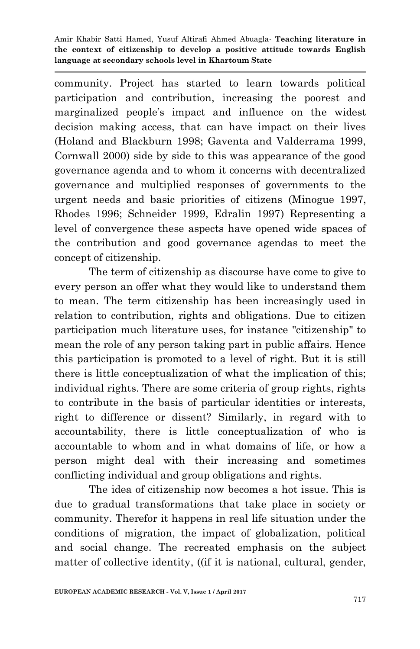community. Project has started to learn towards political participation and contribution, increasing the poorest and marginalized people's impact and influence on the widest decision making access, that can have impact on their lives (Holand and Blackburn 1998; Gaventa and Valderrama 1999, Cornwall 2000) side by side to this was appearance of the good governance agenda and to whom it concerns with decentralized governance and multiplied responses of governments to the urgent needs and basic priorities of citizens (Minogue 1997, Rhodes 1996; Schneider 1999, Edralin 1997) Representing a level of convergence these aspects have opened wide spaces of the contribution and good governance agendas to meet the concept of citizenship.

The term of citizenship as discourse have come to give to every person an offer what they would like to understand them to mean. The term citizenship has been increasingly used in relation to contribution, rights and obligations. Due to citizen participation much literature uses, for instance "citizenship" to mean the role of any person taking part in public affairs. Hence this participation is promoted to a level of right. But it is still there is little conceptualization of what the implication of this; individual rights. There are some criteria of group rights, rights to contribute in the basis of particular identities or interests, right to difference or dissent? Similarly, in regard with to accountability, there is little conceptualization of who is accountable to whom and in what domains of life, or how a person might deal with their increasing and sometimes conflicting individual and group obligations and rights.

The idea of citizenship now becomes a hot issue. This is due to gradual transformations that take place in society or community. Therefor it happens in real life situation under the conditions of migration, the impact of globalization, political and social change. The recreated emphasis on the subject matter of collective identity, ((if it is national, cultural, gender,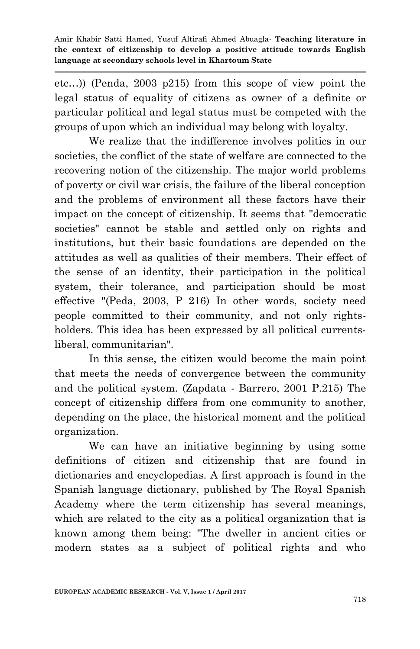etc…)) (Penda, 2003 p215) from this scope of view point the legal status of equality of citizens as owner of a definite or particular political and legal status must be competed with the groups of upon which an individual may belong with loyalty.

We realize that the indifference involves politics in our societies, the conflict of the state of welfare are connected to the recovering notion of the citizenship. The major world problems of poverty or civil war crisis, the failure of the liberal conception and the problems of environment all these factors have their impact on the concept of citizenship. It seems that "democratic societies" cannot be stable and settled only on rights and institutions, but their basic foundations are depended on the attitudes as well as qualities of their members. Their effect of the sense of an identity, their participation in the political system, their tolerance, and participation should be most effective "(Peda, 2003, P 216) In other words, society need people committed to their community, and not only rightsholders. This idea has been expressed by all political currentsliberal, communitarian".

In this sense, the citizen would become the main point that meets the needs of convergence between the community and the political system. (Zapdata - Barrero, 2001 P.215) The concept of citizenship differs from one community to another, depending on the place, the historical moment and the political organization.

We can have an initiative beginning by using some definitions of citizen and citizenship that are found in dictionaries and encyclopedias. A first approach is found in the Spanish language dictionary, published by The Royal Spanish Academy where the term citizenship has several meanings, which are related to the city as a political organization that is known among them being: "The dweller in ancient cities or modern states as a subject of political rights and who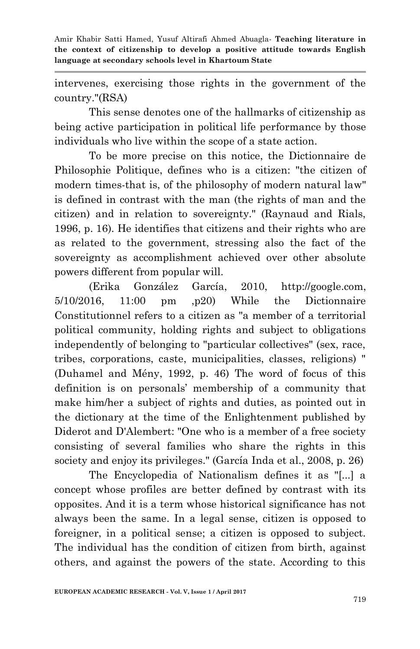intervenes, exercising those rights in the government of the country."(RSA)

This sense denotes one of the hallmarks of citizenship as being active participation in political life performance by those individuals who live within the scope of a state action.

To be more precise on this notice, the Dictionnaire de Philosophie Politique, defines who is a citizen: "the citizen of modern times-that is, of the philosophy of modern natural law" is defined in contrast with the man (the rights of man and the citizen) and in relation to sovereignty." (Raynaud and Rials, 1996, p. 16). He identifies that citizens and their rights who are as related to the government, stressing also the fact of the sovereignty as accomplishment achieved over other absolute powers different from popular will.

(Erika González García, 2010, http://google.com, 5/10/2016, 11:00 pm ,p20) While the Dictionnaire Constitutionnel refers to a citizen as "a member of a territorial political community, holding rights and subject to obligations independently of belonging to "particular collectives" (sex, race, tribes, corporations, caste, municipalities, classes, religions) " (Duhamel and Mény, 1992, p. 46) The word of focus of this definition is on personals' membership of a community that make him/her a subject of rights and duties, as pointed out in the dictionary at the time of the Enlightenment published by Diderot and D'Alembert: "One who is a member of a free society consisting of several families who share the rights in this society and enjoy its privileges." (García Inda et al., 2008, p. 26)

The Encyclopedia of Nationalism defines it as "[...] a concept whose profiles are better defined by contrast with its opposites. And it is a term whose historical significance has not always been the same. In a legal sense, citizen is opposed to foreigner, in a political sense; a citizen is opposed to subject. The individual has the condition of citizen from birth, against others, and against the powers of the state. According to this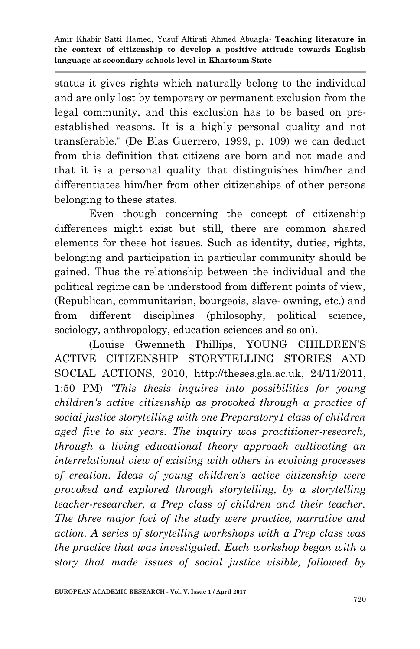status it gives rights which naturally belong to the individual and are only lost by temporary or permanent exclusion from the legal community, and this exclusion has to be based on preestablished reasons. It is a highly personal quality and not transferable." (De Blas Guerrero, 1999, p. 109) we can deduct from this definition that citizens are born and not made and that it is a personal quality that distinguishes him/her and differentiates him/her from other citizenships of other persons belonging to these states.

Even though concerning the concept of citizenship differences might exist but still, there are common shared elements for these hot issues. Such as identity, duties, rights, belonging and participation in particular community should be gained. Thus the relationship between the individual and the political regime can be understood from different points of view, (Republican, communitarian, bourgeois, slave- owning, etc.) and from different disciplines (philosophy, political science, sociology, anthropology, education sciences and so on).

(Louise Gwenneth Phillips, YOUNG CHILDREN'S ACTIVE CITIZENSHIP STORYTELLING STORIES AND SOCIAL ACTIONS, 2010, http://theses.gla.ac.uk, 24/11/2011, 1:50 PM) *"This thesis inquires into possibilities for young children's active citizenship as provoked through a practice of social justice storytelling with one Preparatory1 class of children aged five to six years. The inquiry was practitioner-research, through a living educational theory approach cultivating an interrelational view of existing with others in evolving processes of creation. Ideas of young children's active citizenship were provoked and explored through storytelling, by a storytelling teacher-researcher, a Prep class of children and their teacher. The three major foci of the study were practice, narrative and action. A series of storytelling workshops with a Prep class was the practice that was investigated. Each workshop began with a story that made issues of social justice visible, followed by*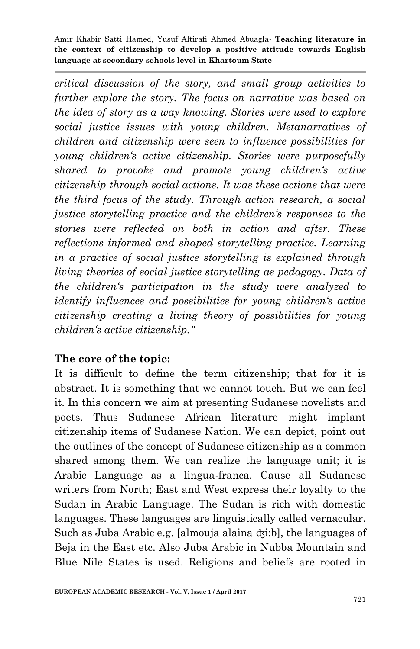*critical discussion of the story, and small group activities to further explore the story. The focus on narrative was based on the idea of story as a way knowing. Stories were used to explore social justice issues with young children. Metanarratives of children and citizenship were seen to influence possibilities for young children's active citizenship. Stories were purposefully shared to provoke and promote young children's active citizenship through social actions. It was these actions that were the third focus of the study. Through action research, a social justice storytelling practice and the children's responses to the stories were reflected on both in action and after. These reflections informed and shaped storytelling practice. Learning in a practice of social justice storytelling is explained through living theories of social justice storytelling as pedagogy. Data of the children's participation in the study were analyzed to identify influences and possibilities for young children's active citizenship creating a living theory of possibilities for young children's active citizenship."*

## **The core of the topic:**

It is difficult to define the term citizenship; that for it is abstract. It is something that we cannot touch. But we can feel it. In this concern we aim at presenting Sudanese novelists and poets. Thus Sudanese African literature might implant citizenship items of Sudanese Nation. We can depict, point out the outlines of the concept of Sudanese citizenship as a common shared among them. We can realize the language unit; it is Arabic Language as a lingua-franca. Cause all Sudanese writers from North; East and West express their loyalty to the Sudan in Arabic Language. The Sudan is rich with domestic languages. These languages are linguistically called vernacular. Such as Juba Arabic e.g. [almouja alaina ʤi:b], the languages of Beja in the East etc. Also Juba Arabic in Nubba Mountain and Blue Nile States is used. Religions and beliefs are rooted in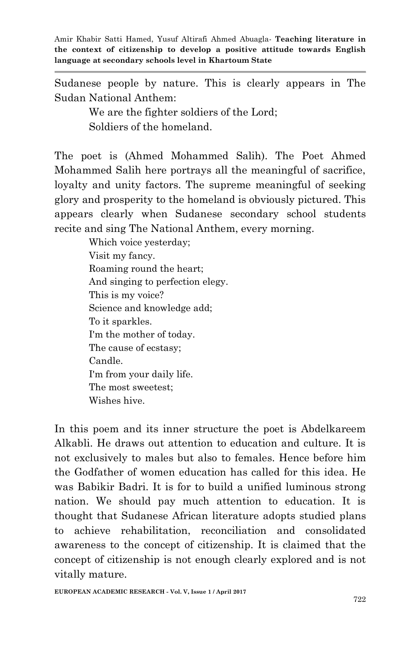Sudanese people by nature. This is clearly appears in The Sudan National Anthem:

> We are the fighter soldiers of the Lord; Soldiers of the homeland.

The poet is (Ahmed Mohammed Salih). The Poet Ahmed Mohammed Salih here portrays all the meaningful of sacrifice, loyalty and unity factors. The supreme meaningful of seeking glory and prosperity to the homeland is obviously pictured. This appears clearly when Sudanese secondary school students recite and sing The National Anthem, every morning.

> Which voice yesterday; Visit my fancy. Roaming round the heart; And singing to perfection elegy. This is my voice? Science and knowledge add; To it sparkles. I'm the mother of today. The cause of ecstasy; Candle. I'm from your daily life. The most sweetest; Wishes hive.

In this poem and its inner structure the poet is Abdelkareem Alkabli. He draws out attention to education and culture. It is not exclusively to males but also to females. Hence before him the Godfather of women education has called for this idea. He was Babikir Badri. It is for to build a unified luminous strong nation. We should pay much attention to education. It is thought that Sudanese African literature adopts studied plans to achieve rehabilitation, reconciliation and consolidated awareness to the concept of citizenship. It is claimed that the concept of citizenship is not enough clearly explored and is not vitally mature.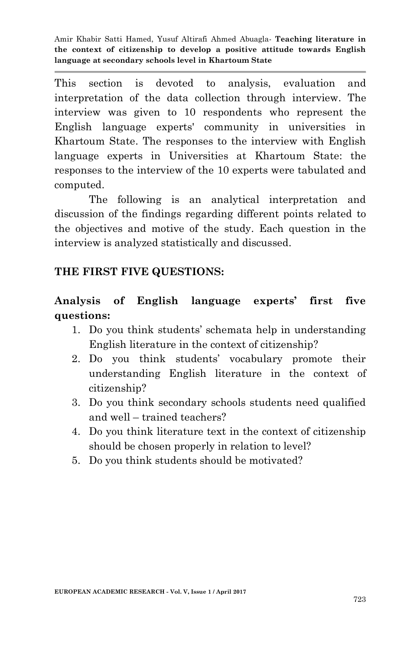This section is devoted to analysis, evaluation and interpretation of the data collection through interview. The interview was given to 10 respondents who represent the English language experts' community in universities in Khartoum State. The responses to the interview with English language experts in Universities at Khartoum State: the responses to the interview of the 10 experts were tabulated and computed.

The following is an analytical interpretation and discussion of the findings regarding different points related to the objectives and motive of the study. Each question in the interview is analyzed statistically and discussed.

#### **THE FIRST FIVE QUESTIONS:**

**Analysis of English language experts' first five questions:**

- 1. Do you think students' schemata help in understanding English literature in the context of citizenship?
- 2. Do you think students' vocabulary promote their understanding English literature in the context of citizenship?
- 3. Do you think secondary schools students need qualified and well – trained teachers?
- 4. Do you think literature text in the context of citizenship should be chosen properly in relation to level?
- 5. Do you think students should be motivated?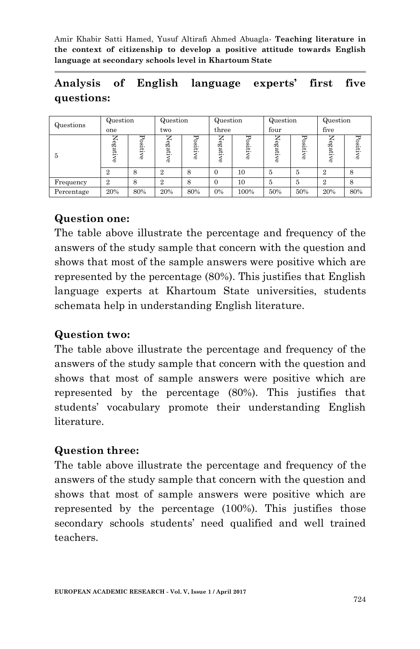# **Analysis of English language experts' first five questions:**

| Questions  | Question       |          | Question       |          | Question |          | Question |                     | Question       |          |
|------------|----------------|----------|----------------|----------|----------|----------|----------|---------------------|----------------|----------|
|            | one            |          | two            |          | three    |          | four     |                     | five           |          |
| 5          | Negative       | Positive | Negative       | Positive | Negative | Positive | Negative | Positiv<br>$\sigma$ | Negative       | Positive |
|            | $\overline{2}$ | 8        | $\overline{2}$ | 8        | $\Omega$ | 10       | 5        | 5                   | $\overline{2}$ | 8        |
| Frequency  | $\overline{2}$ | 8        | $\overline{2}$ | 8        | $\Omega$ | 10       | 5        | 5                   | $\overline{2}$ | 8        |
| Percentage | 20%            | 80%      | 20%            | 80%      | 0%       | 100%     | 50%      | 50%                 | 20%            | 80%      |

#### **Question one:**

The table above illustrate the percentage and frequency of the answers of the study sample that concern with the question and shows that most of the sample answers were positive which are represented by the percentage (80%). This justifies that English language experts at Khartoum State universities, students schemata help in understanding English literature.

#### **Question two:**

The table above illustrate the percentage and frequency of the answers of the study sample that concern with the question and shows that most of sample answers were positive which are represented by the percentage (80%). This justifies that students' vocabulary promote their understanding English literature.

#### **Question three:**

The table above illustrate the percentage and frequency of the answers of the study sample that concern with the question and shows that most of sample answers were positive which are represented by the percentage (100%). This justifies those secondary schools students' need qualified and well trained teachers.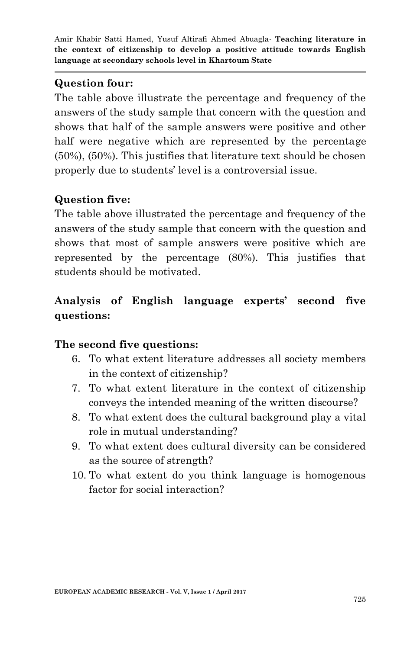#### **Question four:**

The table above illustrate the percentage and frequency of the answers of the study sample that concern with the question and shows that half of the sample answers were positive and other half were negative which are represented by the percentage (50%), (50%). This justifies that literature text should be chosen properly due to students' level is a controversial issue.

## **Question five:**

The table above illustrated the percentage and frequency of the answers of the study sample that concern with the question and shows that most of sample answers were positive which are represented by the percentage (80%). This justifies that students should be motivated.

# **Analysis of English language experts' second five questions:**

#### **The second five questions:**

- 6. To what extent literature addresses all society members in the context of citizenship?
- 7. To what extent literature in the context of citizenship conveys the intended meaning of the written discourse?
- 8. To what extent does the cultural background play a vital role in mutual understanding?
- 9. To what extent does cultural diversity can be considered as the source of strength?
- 10. To what extent do you think language is homogenous factor for social interaction?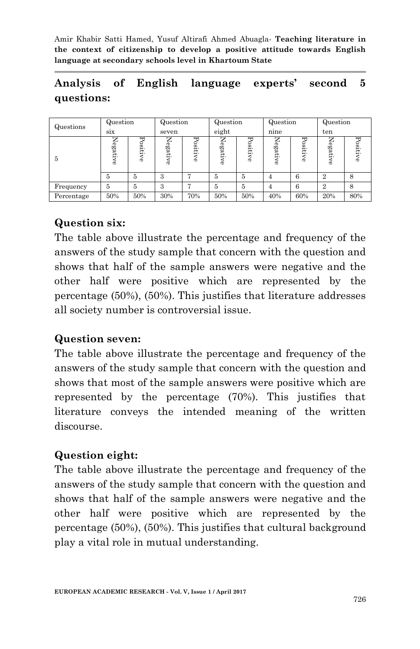# **Analysis of English language experts' second 5 questions:**

| Questions  | Question      |          | Question      |                | Question |          | Question |              | Question         |          |
|------------|---------------|----------|---------------|----------------|----------|----------|----------|--------------|------------------|----------|
|            | six           |          | seven         |                | eight    |          | nine     |              | ten              |          |
| 5          | z<br>legative | Positive | z<br>legative | Positive       | Negative | Positive | Negative | Positi<br>ര് | z<br>legati<br>ă | Positive |
|            | 5             | 5        | 3             | $\overline{ }$ | 5        | 5        | 4        | 6            | $\overline{2}$   | 8        |
| Frequency  | 5             | 5        | 3             | π              | 5        | 5        | 4        | 6            | $\overline{2}$   | 8        |
| Percentage | 50%           | 50%      | 30%           | 70%            | 50%      | 50%      | 40%      | 60%          | 20%              | 80%      |

#### **Question six:**

The table above illustrate the percentage and frequency of the answers of the study sample that concern with the question and shows that half of the sample answers were negative and the other half were positive which are represented by the percentage (50%), (50%). This justifies that literature addresses all society number is controversial issue.

#### **Question seven:**

The table above illustrate the percentage and frequency of the answers of the study sample that concern with the question and shows that most of the sample answers were positive which are represented by the percentage (70%). This justifies that literature conveys the intended meaning of the written discourse.

#### **Question eight:**

The table above illustrate the percentage and frequency of the answers of the study sample that concern with the question and shows that half of the sample answers were negative and the other half were positive which are represented by the percentage (50%), (50%). This justifies that cultural background play a vital role in mutual understanding.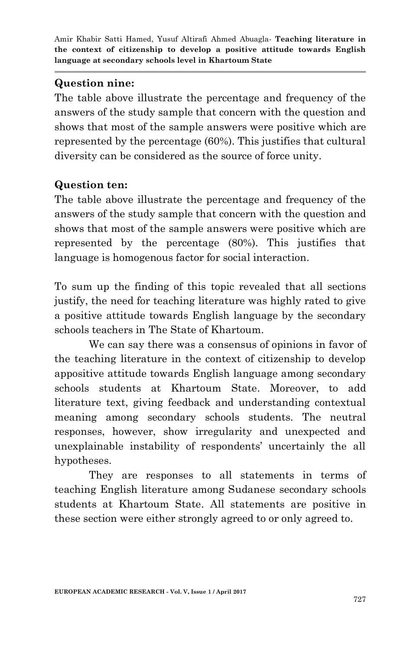#### **Question nine:**

The table above illustrate the percentage and frequency of the answers of the study sample that concern with the question and shows that most of the sample answers were positive which are represented by the percentage (60%). This justifies that cultural diversity can be considered as the source of force unity.

## **Question ten:**

The table above illustrate the percentage and frequency of the answers of the study sample that concern with the question and shows that most of the sample answers were positive which are represented by the percentage (80%). This justifies that language is homogenous factor for social interaction.

To sum up the finding of this topic revealed that all sections justify, the need for teaching literature was highly rated to give a positive attitude towards English language by the secondary schools teachers in The State of Khartoum.

We can say there was a consensus of opinions in favor of the teaching literature in the context of citizenship to develop appositive attitude towards English language among secondary schools students at Khartoum State. Moreover, to add literature text, giving feedback and understanding contextual meaning among secondary schools students. The neutral responses, however, show irregularity and unexpected and unexplainable instability of respondents' uncertainly the all hypotheses.

They are responses to all statements in terms of teaching English literature among Sudanese secondary schools students at Khartoum State. All statements are positive in these section were either strongly agreed to or only agreed to.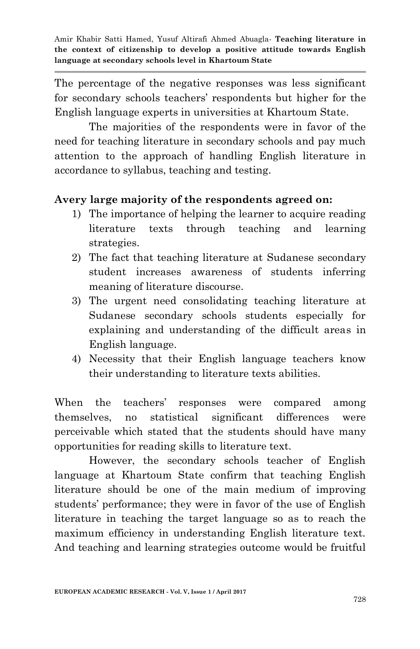The percentage of the negative responses was less significant for secondary schools teachers' respondents but higher for the English language experts in universities at Khartoum State.

The majorities of the respondents were in favor of the need for teaching literature in secondary schools and pay much attention to the approach of handling English literature in accordance to syllabus, teaching and testing.

## **Avery large majority of the respondents agreed on:**

- 1) The importance of helping the learner to acquire reading literature texts through teaching and learning strategies.
- 2) The fact that teaching literature at Sudanese secondary student increases awareness of students inferring meaning of literature discourse.
- 3) The urgent need consolidating teaching literature at Sudanese secondary schools students especially for explaining and understanding of the difficult areas in English language.
- 4) Necessity that their English language teachers know their understanding to literature texts abilities.

When the teachers' responses were compared among themselves, no statistical significant differences were perceivable which stated that the students should have many opportunities for reading skills to literature text.

However, the secondary schools teacher of English language at Khartoum State confirm that teaching English literature should be one of the main medium of improving students' performance; they were in favor of the use of English literature in teaching the target language so as to reach the maximum efficiency in understanding English literature text. And teaching and learning strategies outcome would be fruitful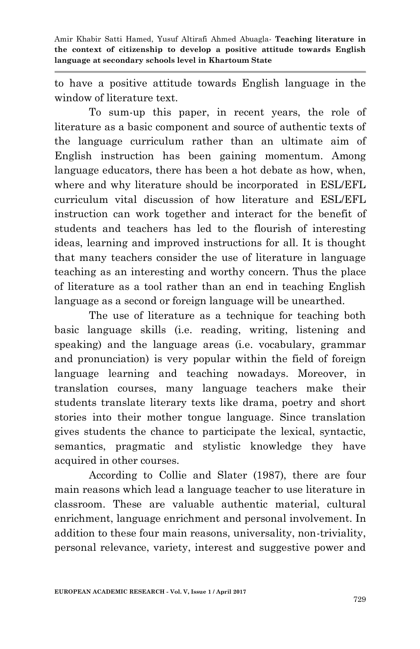to have a positive attitude towards English language in the window of literature text.

To sum-up this paper, in recent years, the role of literature as a basic component and source of authentic texts of the language curriculum rather than an ultimate aim of English instruction has been gaining momentum. Among language educators, there has been a hot debate as how, when, where and why literature should be incorporated in ESL/EFL curriculum vital discussion of how literature and ESL/EFL instruction can work together and interact for the benefit of students and teachers has led to the flourish of interesting ideas, learning and improved instructions for all. It is thought that many teachers consider the use of literature in language teaching as an interesting and worthy concern. Thus the place of literature as a tool rather than an end in teaching English language as a second or foreign language will be unearthed.

The use of literature as a technique for teaching both basic language skills (i.e. reading, writing, listening and speaking) and the language areas (i.e. vocabulary, grammar and pronunciation) is very popular within the field of foreign language learning and teaching nowadays. Moreover, in translation courses, many language teachers make their students translate literary texts like drama, poetry and short stories into their mother tongue language. Since translation gives students the chance to participate the lexical, syntactic, semantics, pragmatic and stylistic knowledge they have acquired in other courses.

According to Collie and Slater (1987), there are four main reasons which lead a language teacher to use literature in classroom. These are valuable authentic material, cultural enrichment, language enrichment and personal involvement. In addition to these four main reasons, universality, non-triviality, personal relevance, variety, interest and suggestive power and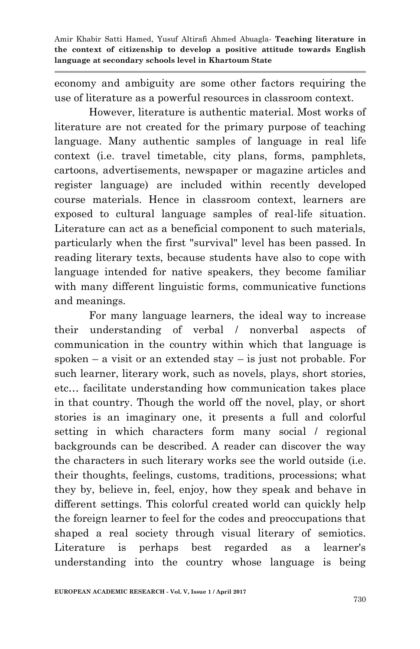economy and ambiguity are some other factors requiring the use of literature as a powerful resources in classroom context.

However, literature is authentic material. Most works of literature are not created for the primary purpose of teaching language. Many authentic samples of language in real life context (i.e. travel timetable, city plans, forms, pamphlets, cartoons, advertisements, newspaper or magazine articles and register language) are included within recently developed course materials. Hence in classroom context, learners are exposed to cultural language samples of real-life situation. Literature can act as a beneficial component to such materials, particularly when the first "survival" level has been passed. In reading literary texts, because students have also to cope with language intended for native speakers, they become familiar with many different linguistic forms, communicative functions and meanings.

For many language learners, the ideal way to increase their understanding of verbal / nonverbal aspects of communication in the country within which that language is spoken – a visit or an extended stay – is just not probable. For such learner, literary work, such as novels, plays, short stories, etc… facilitate understanding how communication takes place in that country. Though the world off the novel, play, or short stories is an imaginary one, it presents a full and colorful setting in which characters form many social / regional backgrounds can be described. A reader can discover the way the characters in such literary works see the world outside (i.e. their thoughts, feelings, customs, traditions, processions; what they by, believe in, feel, enjoy, how they speak and behave in different settings. This colorful created world can quickly help the foreign learner to feel for the codes and preoccupations that shaped a real society through visual literary of semiotics. Literature is perhaps best regarded as a learner's understanding into the country whose language is being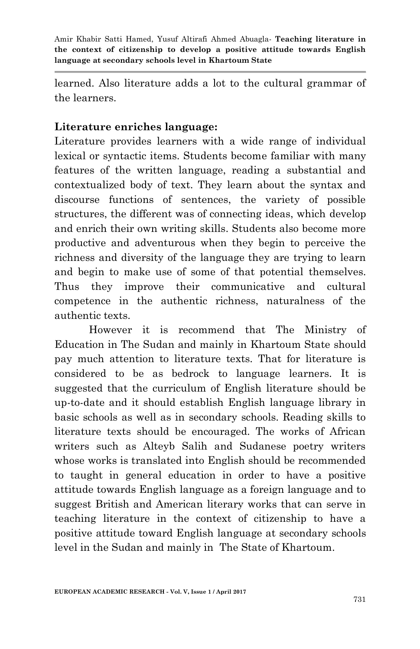learned. Also literature adds a lot to the cultural grammar of the learners.

#### **Literature enriches language:**

Literature provides learners with a wide range of individual lexical or syntactic items. Students become familiar with many features of the written language, reading a substantial and contextualized body of text. They learn about the syntax and discourse functions of sentences, the variety of possible structures, the different was of connecting ideas, which develop and enrich their own writing skills. Students also become more productive and adventurous when they begin to perceive the richness and diversity of the language they are trying to learn and begin to make use of some of that potential themselves. Thus they improve their communicative and cultural competence in the authentic richness, naturalness of the authentic texts.

However it is recommend that The Ministry of Education in The Sudan and mainly in Khartoum State should pay much attention to literature texts. That for literature is considered to be as bedrock to language learners. It is suggested that the curriculum of English literature should be up-to-date and it should establish English language library in basic schools as well as in secondary schools. Reading skills to literature texts should be encouraged. The works of African writers such as Alteyb Salih and Sudanese poetry writers whose works is translated into English should be recommended to taught in general education in order to have a positive attitude towards English language as a foreign language and to suggest British and American literary works that can serve in teaching literature in the context of citizenship to have a positive attitude toward English language at secondary schools level in the Sudan and mainly in The State of Khartoum.